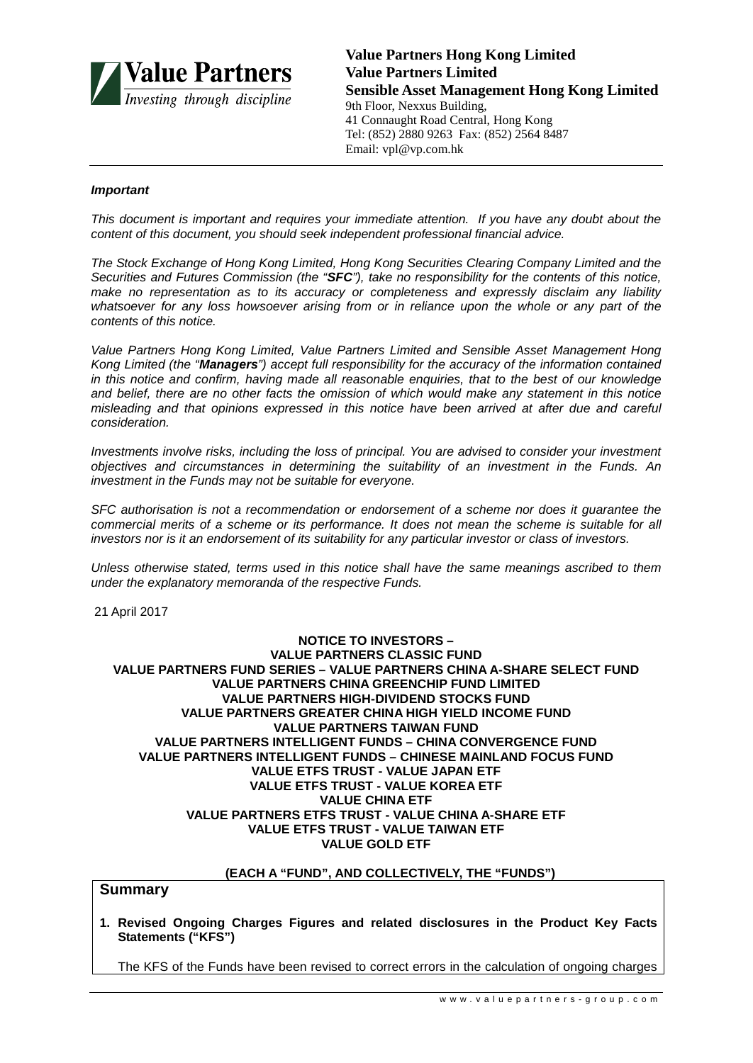

**Value Partners Hong Kong Limited Value Partners Limited Sensible Asset Management Hong Kong Limited** 9th Floor, Nexxus Building, 41 Connaught Road Central, Hong Kong Tel: (852) 2880 9263 Fax: (852) 2564 8487 Email: vpl@vp.com.hk

### *Important*

*This document is important and requires your immediate attention. If you have any doubt about the content of this document, you should seek independent professional financial advice.* 

*The Stock Exchange of Hong Kong Limited, Hong Kong Securities Clearing Company Limited and the Securities and Futures Commission (the "SFC"), take no responsibility for the contents of this notice, make no representation as to its accuracy or completeness and expressly disclaim any liability whatsoever for any loss howsoever arising from or in reliance upon the whole or any part of the contents of this notice.*

*Value Partners Hong Kong Limited, Value Partners Limited and Sensible Asset Management Hong Kong Limited (the "Managers") accept full responsibility for the accuracy of the information contained in this notice and confirm, having made all reasonable enquiries, that to the best of our knowledge and belief, there are no other facts the omission of which would make any statement in this notice misleading and that opinions expressed in this notice have been arrived at after due and careful consideration.*

*Investments involve risks, including the loss of principal. You are advised to consider your investment objectives and circumstances in determining the suitability of an investment in the Funds. An investment in the Funds may not be suitable for everyone.* 

*SFC authorisation is not a recommendation or endorsement of a scheme nor does it guarantee the commercial merits of a scheme or its performance. It does not mean the scheme is suitable for all investors nor is it an endorsement of its suitability for any particular investor or class of investors.*

*Unless otherwise stated, terms used in this notice shall have the same meanings ascribed to them under the explanatory memoranda of the respective Funds.*

21 April 2017

### **NOTICE TO INVESTORS – VALUE PARTNERS CLASSIC FUND VALUE PARTNERS FUND SERIES – VALUE PARTNERS CHINA A-SHARE SELECT FUND VALUE PARTNERS CHINA GREENCHIP FUND LIMITED VALUE PARTNERS HIGH-DIVIDEND STOCKS FUND VALUE PARTNERS GREATER CHINA HIGH YIELD INCOME FUND VALUE PARTNERS TAIWAN FUND VALUE PARTNERS INTELLIGENT FUNDS – CHINA CONVERGENCE FUND VALUE PARTNERS INTELLIGENT FUNDS – CHINESE MAINLAND FOCUS FUND VALUE ETFS TRUST - VALUE JAPAN ETF VALUE ETFS TRUST - VALUE KOREA ETF VALUE CHINA ETF VALUE PARTNERS ETFS TRUST - VALUE CHINA A-SHARE ETF VALUE ETFS TRUST - VALUE TAIWAN ETF VALUE GOLD ETF**

### **(EACH A "FUND", AND COLLECTIVELY, THE "FUNDS")**

# **Summary**

**1. Revised Ongoing Charges Figures and related disclosures in the Product Key Facts Statements ("KFS")**

The KFS of the Funds have been revised to correct errors in the calculation of ongoing charges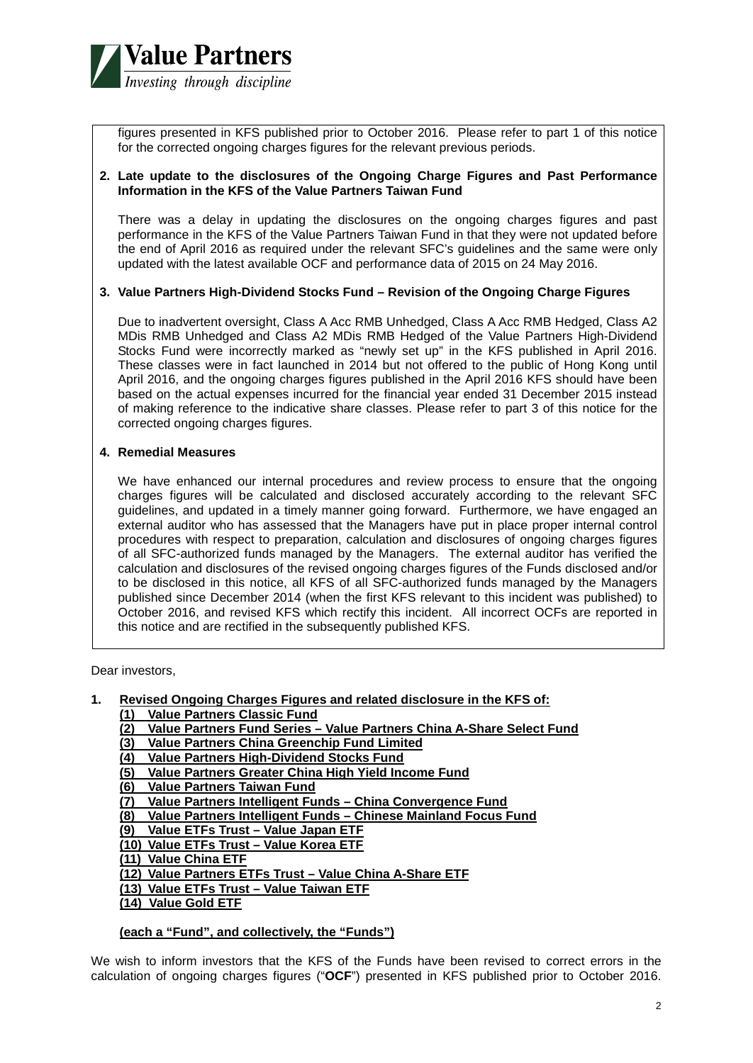

figures presented in KFS published prior to October 2016. Please refer to part 1 of this notice for the corrected ongoing charges figures for the relevant previous periods.

### **2. Late update to the disclosures of the Ongoing Charge Figures and Past Performance Information in the KFS of the Value Partners Taiwan Fund**

There was a delay in updating the disclosures on the ongoing charges figures and past performance in the KFS of the Value Partners Taiwan Fund in that they were not updated before the end of April 2016 as required under the relevant SFC's guidelines and the same were only updated with the latest available OCF and performance data of 2015 on 24 May 2016.

### **3. Value Partners High-Dividend Stocks Fund – Revision of the Ongoing Charge Figures**

Due to inadvertent oversight, Class A Acc RMB Unhedged, Class A Acc RMB Hedged, Class A2 MDis RMB Unhedged and Class A2 MDis RMB Hedged of the Value Partners High-Dividend Stocks Fund were incorrectly marked as "newly set up" in the KFS published in April 2016. These classes were in fact launched in 2014 but not offered to the public of Hong Kong until April 2016, and the ongoing charges figures published in the April 2016 KFS should have been based on the actual expenses incurred for the financial year ended 31 December 2015 instead of making reference to the indicative share classes. Please refer to part 3 of this notice for the corrected ongoing charges figures.

### **4. Remedial Measures**

We have enhanced our internal procedures and review process to ensure that the ongoing charges figures will be calculated and disclosed accurately according to the relevant SFC guidelines, and updated in a timely manner going forward. Furthermore, we have engaged an external auditor who has assessed that the Managers have put in place proper internal control procedures with respect to preparation, calculation and disclosures of ongoing charges figures of all SFC-authorized funds managed by the Managers. The external auditor has verified the calculation and disclosures of the revised ongoing charges figures of the Funds disclosed and/or to be disclosed in this notice, all KFS of all SFC-authorized funds managed by the Managers published since December 2014 (when the first KFS relevant to this incident was published) to October 2016, and revised KFS which rectify this incident. All incorrect OCFs are reported in this notice and are rectified in the subsequently published KFS.

Dear investors,

### **1. Revised Ongoing Charges Figures and related disclosure in the KFS of:**

- **(1) Value Partners Classic Fund**
- **(2) Value Partners Fund Series – Value Partners China A-Share Select Fund**
- **(3) Value Partners China Greenchip Fund Limited**
- **(4) Value Partners High-Dividend Stocks Fund**
- **(5) Value Partners Greater China High Yield Income Fund**
- **(6) Value Partners Taiwan Fund**
- **(7) Value Partners Intelligent Funds – China Convergence Fund**
- **(8) Value Partners Intelligent Funds – Chinese Mainland Focus Fund**
- **(9) Value ETFs Trust – Value Japan ETF**
- **(10) Value ETFs Trust – Value Korea ETF**
- **(11) Value China ETF**
- **(12) Value Partners ETFs Trust – Value China A-Share ETF**
- **(13) Value ETFs Trust – Value Taiwan ETF**
- **(14) Value Gold ETF**

### **(each a "Fund", and collectively, the "Funds")**

We wish to inform investors that the KFS of the Funds have been revised to correct errors in the calculation of ongoing charges figures ("**OCF**") presented in KFS published prior to October 2016.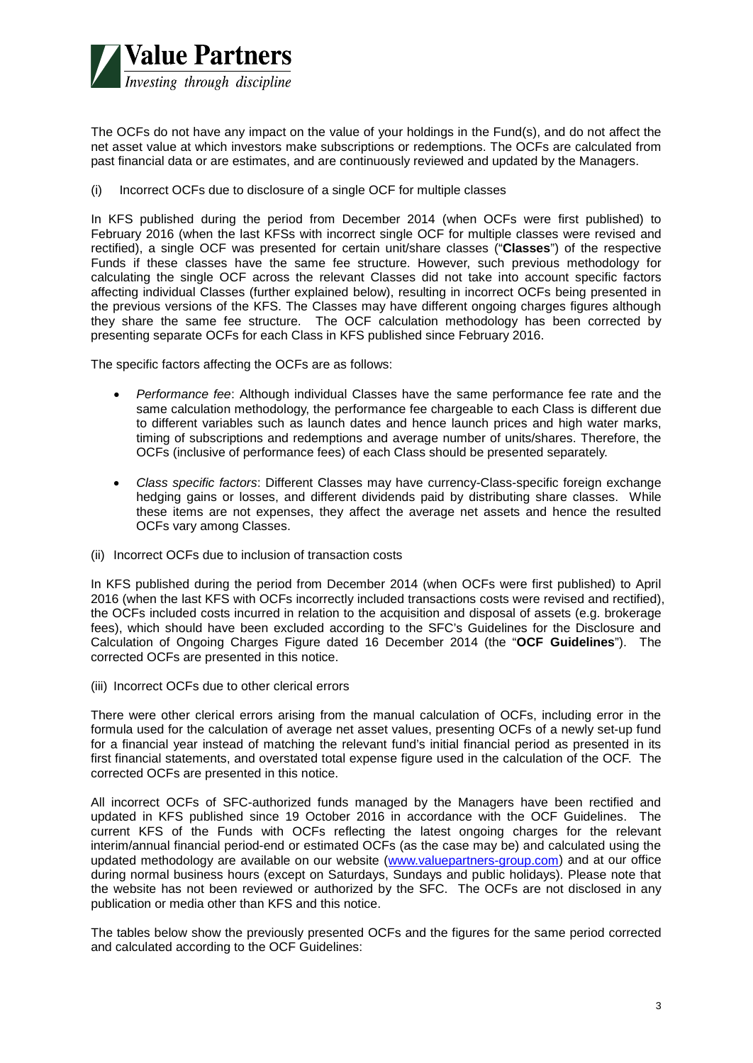

The OCFs do not have any impact on the value of your holdings in the Fund(s), and do not affect the net asset value at which investors make subscriptions or redemptions. The OCFs are calculated from past financial data or are estimates, and are continuously reviewed and updated by the Managers.

(i) Incorrect OCFs due to disclosure of a single OCF for multiple classes

In KFS published during the period from December 2014 (when OCFs were first published) to February 2016 (when the last KFSs with incorrect single OCF for multiple classes were revised and rectified), a single OCF was presented for certain unit/share classes ("**Classes**") of the respective Funds if these classes have the same fee structure. However, such previous methodology for calculating the single OCF across the relevant Classes did not take into account specific factors affecting individual Classes (further explained below), resulting in incorrect OCFs being presented in the previous versions of the KFS. The Classes may have different ongoing charges figures although they share the same fee structure. The OCF calculation methodology has been corrected by presenting separate OCFs for each Class in KFS published since February 2016.

The specific factors affecting the OCFs are as follows:

- *Performance fee*: Although individual Classes have the same performance fee rate and the same calculation methodology, the performance fee chargeable to each Class is different due to different variables such as launch dates and hence launch prices and high water marks, timing of subscriptions and redemptions and average number of units/shares. Therefore, the OCFs (inclusive of performance fees) of each Class should be presented separately.
- *Class specific factors*: Different Classes may have currency-Class-specific foreign exchange hedging gains or losses, and different dividends paid by distributing share classes. While these items are not expenses, they affect the average net assets and hence the resulted OCFs vary among Classes.
- (ii) Incorrect OCFs due to inclusion of transaction costs

In KFS published during the period from December 2014 (when OCFs were first published) to April 2016 (when the last KFS with OCFs incorrectly included transactions costs were revised and rectified), the OCFs included costs incurred in relation to the acquisition and disposal of assets (e.g. brokerage fees), which should have been excluded according to the SFC's Guidelines for the Disclosure and Calculation of Ongoing Charges Figure dated 16 December 2014 (the "**OCF Guidelines**"). The corrected OCFs are presented in this notice.

(iii) Incorrect OCFs due to other clerical errors

There were other clerical errors arising from the manual calculation of OCFs, including error in the formula used for the calculation of average net asset values, presenting OCFs of a newly set-up fund for a financial year instead of matching the relevant fund's initial financial period as presented in its first financial statements, and overstated total expense figure used in the calculation of the OCF. The corrected OCFs are presented in this notice.

All incorrect OCFs of SFC-authorized funds managed by the Managers have been rectified and updated in KFS published since 19 October 2016 in accordance with the OCF Guidelines. The current KFS of the Funds with OCFs reflecting the latest ongoing charges for the relevant interim/annual financial period-end or estimated OCFs (as the case may be) and calculated using the updated methodology are available on our website [\(www.valuepartners-group.com\)](http://www.valuepartners-group.com/) and at our office during normal business hours (except on Saturdays, Sundays and public holidays). Please note that the website has not been reviewed or authorized by the SFC. The OCFs are not disclosed in any publication or media other than KFS and this notice.

The tables below show the previously presented OCFs and the figures for the same period corrected and calculated according to the OCF Guidelines: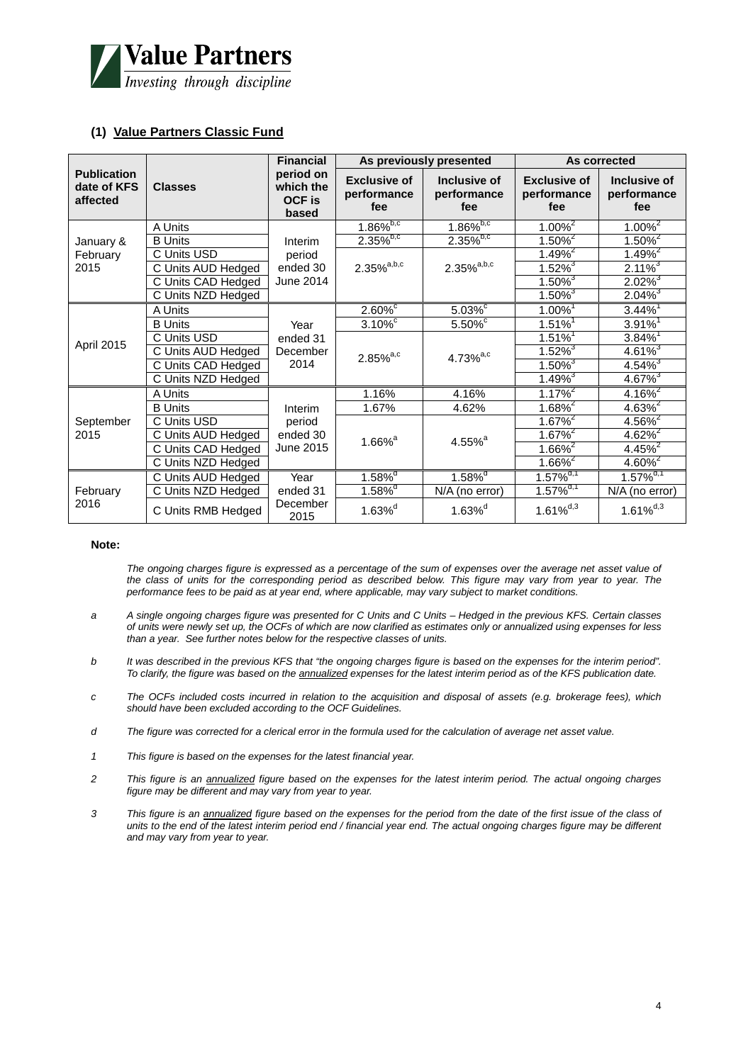

### **(1) Value Partners Classic Fund**

|                                               |                    | <b>Financial</b>                                 |                                           | As previously presented            |                                           | As corrected                       |
|-----------------------------------------------|--------------------|--------------------------------------------------|-------------------------------------------|------------------------------------|-------------------------------------------|------------------------------------|
| <b>Publication</b><br>date of KFS<br>affected | <b>Classes</b>     | period on<br>which the<br><b>OCF</b> is<br>based | <b>Exclusive of</b><br>performance<br>fee | Inclusive of<br>performance<br>fee | <b>Exclusive of</b><br>performance<br>fee | Inclusive of<br>performance<br>fee |
|                                               | A Units            |                                                  | $1.86\%^{b,c}$                            | $1.86\%^{b,c}$                     | $1.00\%$ <sup>2</sup>                     | $1.00\%$ <sup>2</sup>              |
| January &                                     | <b>B</b> Units     | Interim                                          | $2.35\%^{b,c}$                            | $2.35\%^{b,c}$                     | $1.50\%^{2}$                              | $1.50\%^{2}$                       |
| February                                      | C Units USD        | period                                           |                                           |                                    | $1.49\%$ <sup>2</sup>                     | $1.49\%$ <sup>2</sup>              |
| 2015                                          | C Units AUD Hedged | ended 30                                         | $2.35\%^{a,b,c}$                          | $2.35\%^{a,b,c}$                   | $1.52\%^{3}$                              | $2.11\%^{3}$                       |
|                                               | C Units CAD Hedged | June 2014                                        |                                           |                                    | $1.50\%$ <sup>3</sup>                     | $2.02\%$ <sup>3</sup>              |
|                                               | C Units NZD Hedged |                                                  |                                           |                                    | $1.50\%$ <sup>3</sup>                     | $2.04\%$ <sup>3</sup>              |
|                                               | A Units            |                                                  | $2.60\%$                                  | $5.03\%$                           | $1.00\%$ <sup>1</sup>                     | $3.44\%$                           |
|                                               | <b>B</b> Units     | Year<br>ended 31<br>December<br>2014             | $3.10\%$                                  | $5.50\%$                           | $1.51\%$ <sup>1</sup>                     | $3.91\%$ <sup>1</sup>              |
|                                               | C Units USD        |                                                  | $2.85\%^{a,c}$                            |                                    | $1.51\%$ <sup>1</sup>                     | $3.84\%$                           |
| April 2015                                    | C Units AUD Hedged |                                                  |                                           | $4.73%^{a,c}$                      | $1.52\%$ <sup>3</sup>                     | $4.61\%$ <sup>3</sup>              |
|                                               | C Units CAD Hedged |                                                  |                                           |                                    | $1.50\%$ <sup>3</sup>                     | $4.54\%$ <sup>3</sup>              |
|                                               | C Units NZD Hedged |                                                  |                                           |                                    | $1.49\%^{3}$                              | $4.67\%$ <sup>3</sup>              |
|                                               | A Units            |                                                  | 1.16%                                     | 4.16%                              | $1.17\%^{2}$                              | $4.16\%$ <sup>2</sup>              |
|                                               | <b>B</b> Units     | Interim                                          | 1.67%                                     | 4.62%                              | $1.68\%$                                  | $4.63\%$ <sup>2</sup>              |
| September                                     | C Units USD        | period                                           |                                           |                                    | $1.67\%$ <sup>2</sup>                     | $4.56\%$ <sup>2</sup>              |
| 2015                                          | C Units AUD Hedged | ended 30                                         | $1.66\%$ <sup>a</sup>                     | $4.55\%$ <sup>a</sup>              | $1.67\%$ <sup>2</sup>                     | $4.62\%$ <sup>2</sup>              |
|                                               | C Units CAD Hedged | June 2015                                        |                                           |                                    | $1.66\%^{2}$                              | $4.45\%$ <sup>2</sup>              |
|                                               | C Units NZD Hedged |                                                  |                                           |                                    | $1.66\%$ <sup>2</sup>                     | $4.60\%$ <sup>2</sup>              |
|                                               | C Units AUD Hedged | Year                                             | $1.58\%$ <sup>d</sup>                     | $1.58\%$ <sup>d</sup>              | $1.57\%$ <sup>d,1</sup>                   | $1.57\%$ <sup>d,1</sup>            |
| February                                      | C Units NZD Hedged | ended 31                                         | $1.58\%$ <sup>d</sup>                     | N/A (no error)                     | $1.57\%$ <sup>d,1</sup>                   | N/A (no error)                     |
| 2016                                          | C Units RMB Hedged | December<br>2015                                 | $1.63%^{d}$                               | $1.63%^{d}$                        | $1.61\%^{d,3}$                            | $1.61\%^{d,3}$                     |

#### **Note:**

The ongoing charges figure is expressed as a percentage of the sum of expenses over the average net asset value of *the class of units for the corresponding period as described below. This figure may vary from year to year. The performance fees to be paid as at year end, where applicable, may vary subject to market conditions.*

- *a A single ongoing charges figure was presented for C Units and C Units – Hedged in the previous KFS. Certain classes of units were newly set up, the OCFs of which are now clarified as estimates only or annualized using expenses for less than a year. See further notes below for the respective classes of units.*
- *b It was described in the previous KFS that "the ongoing charges figure is based on the expenses for the interim period". To clarify, the figure was based on the annualized expenses for the latest interim period as of the KFS publication date.*
- *c The OCFs included costs incurred in relation to the acquisition and disposal of assets (e.g. brokerage fees), which should have been excluded according to the OCF Guidelines.*
- *d The figure was corrected for a clerical error in the formula used for the calculation of average net asset value.*
- *1 This figure is based on the expenses for the latest financial year.*
- *2 This figure is an annualized figure based on the expenses for the latest interim period. The actual ongoing charges figure may be different and may vary from year to year.*
- *3 This figure is an annualized figure based on the expenses for the period from the date of the first issue of the class of units to the end of the latest interim period end / financial year end. The actual ongoing charges figure may be different and may vary from year to year.*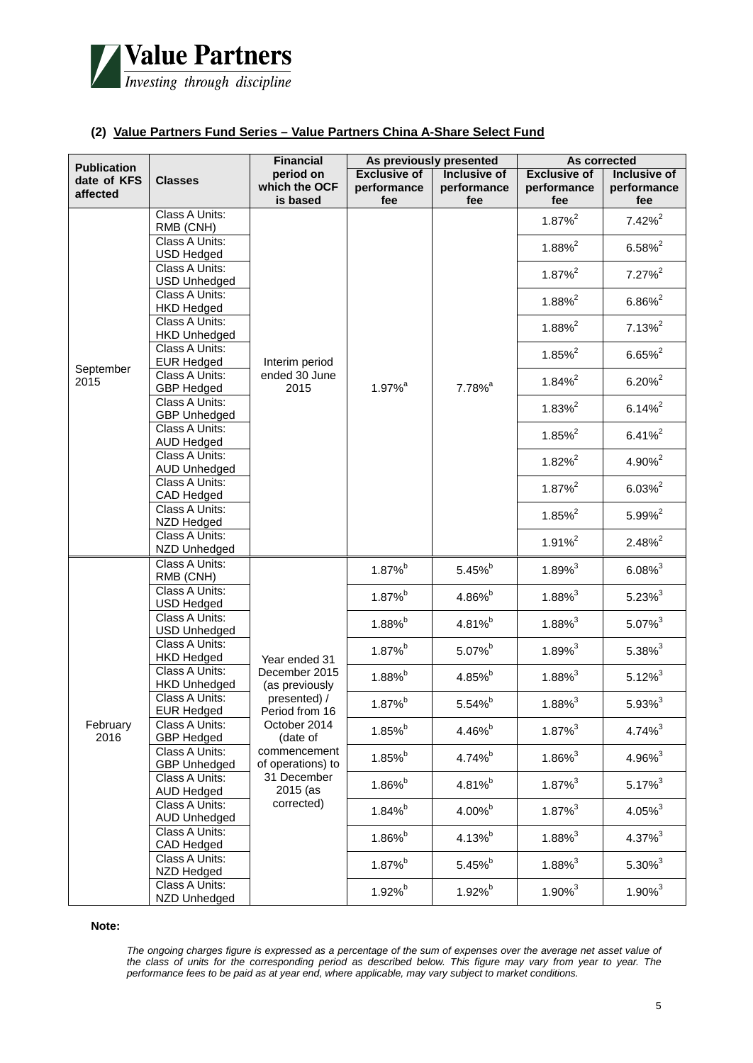

# **(2) Value Partners Fund Series – Value Partners China A-Share Select Fund**

|                                               |                                       | <b>Financial</b>                       |                                           | As previously presented            | As corrected                              |                                    |
|-----------------------------------------------|---------------------------------------|----------------------------------------|-------------------------------------------|------------------------------------|-------------------------------------------|------------------------------------|
| <b>Publication</b><br>date of KFS<br>affected | <b>Classes</b>                        | period on<br>which the OCF<br>is based | <b>Exclusive of</b><br>performance<br>fee | Inclusive of<br>performance<br>fee | <b>Exclusive of</b><br>performance<br>fee | Inclusive of<br>performance<br>fee |
|                                               | Class A Units:<br>RMB (CNH)           |                                        |                                           |                                    | $1.87\%^{2}$                              | $7.42\%^{2}$                       |
|                                               | Class A Units:<br><b>USD Hedged</b>   |                                        |                                           |                                    | $1.88\%^{2}$                              | $6.58\%^{2}$                       |
|                                               | Class A Units:<br><b>USD Unhedged</b> |                                        |                                           |                                    | $1.87\%^{2}$                              | $7.27\%^{2}$                       |
|                                               | Class A Units:<br><b>HKD Hedged</b>   |                                        |                                           |                                    | $1.88\%^{2}$                              | $6.86\%^{2}$                       |
|                                               | Class A Units:<br><b>HKD Unhedged</b> |                                        |                                           |                                    | $1.88\%^{2}$                              | $7.13\%^{2}$                       |
| September                                     | Class A Units:<br><b>EUR Hedged</b>   | Interim period                         |                                           |                                    | $1.85\%^{2}$                              | $6.65\%^{2}$                       |
| 2015                                          | Class A Units:<br><b>GBP Hedged</b>   | ended 30 June<br>2015                  | $1.97\%$ <sup>a</sup>                     | 7.78% <sup>a</sup>                 | $1.84\%^{2}$                              | $6.20\%^{2}$                       |
|                                               | Class A Units:<br><b>GBP Unhedged</b> |                                        |                                           |                                    | $1.83\%^{2}$                              | $6.14\%^{2}$                       |
|                                               | Class A Units:<br><b>AUD Hedged</b>   |                                        |                                           |                                    | $1.85\%^{2}$                              | $6.41\%^{2}$                       |
|                                               | Class A Units:<br><b>AUD Unhedged</b> |                                        |                                           |                                    | $1.82\%^{2}$                              | $4.90\%^{2}$                       |
|                                               | Class A Units:<br>CAD Hedged          |                                        |                                           |                                    | $1.87\%^{2}$                              | $6.03\%^{2}$                       |
|                                               | Class A Units:<br>NZD Hedged          |                                        |                                           |                                    | $1.85\%^{2}$                              | $5.99\%^{2}$                       |
|                                               | Class A Units:<br>NZD Unhedged        |                                        |                                           |                                    | $1.91\%^{2}$                              | $2.48\%^{2}$                       |
|                                               | Class A Units:<br>RMB (CNH)           |                                        | $1.87\%$ <sup>b</sup>                     | $5.45\%$                           | $1.89\%^{3}$                              | $6.08\%^{3}$                       |
|                                               | Class A Units:<br><b>USD Hedged</b>   |                                        | $1.87\%$ <sup>b</sup>                     | 4.86%b                             | $1.88\%^{3}$                              | $5.23\%^{3}$                       |
|                                               | Class A Units:<br><b>USD Unhedged</b> |                                        | $1.88\%$ <sup>b</sup>                     | 4.81%b                             | $1.88\%^{3}$                              | $5.07\%$ <sup>3</sup>              |
|                                               | Class A Units:<br><b>HKD Hedged</b>   | Year ended 31                          | $1.87\%$ <sup>b</sup>                     | 5.07%b                             | $1.89\%^{3}$                              | $5.38\%$ <sup>3</sup>              |
|                                               | Class A Units:<br><b>HKD Unhedged</b> | December 2015<br>(as previously        | $1.88\%$ <sup>b</sup>                     | 4.85%b                             | $1.88\%^{3}$                              | $5.12\%^{3}$                       |
|                                               | Class A Units:<br><b>EUR Hedged</b>   | presented) /<br>Period from 16         | $1.87\%$ <sup>b</sup>                     | 5.54% <sup>b</sup>                 | $1.88\%^{3}$                              | $5.93\%$ <sup>3</sup>              |
| February<br>2016                              | Class A Units:<br><b>GBP</b> Hedged   | October 2014<br>(date of               | $1.85\%^{\text{b}}$                       | 4.46%b                             | $1.87\%^{3}$                              | $4.74\%$ <sup>3</sup>              |
|                                               | Class A Units:<br><b>GBP Unhedged</b> | commencement<br>of operations) to      | $1.85\%$                                  | $4.74\%$                           | $1.86\%^{3}$                              | $4.96\%$ <sup>3</sup>              |
|                                               | Class A Units:<br><b>AUD Hedged</b>   | 31 December<br>2015 (as                | $1.86\%$                                  | 4.81%b                             | $1.87\%^{3}$                              | $5.17\%$ <sup>3</sup>              |
|                                               | Class A Units:<br><b>AUD Unhedged</b> | corrected)                             | $1.84\%$ <sup>b</sup>                     | 4.00%b                             | $1.87\%$ <sup>3</sup>                     | $4.05\%$ <sup>3</sup>              |
|                                               | Class A Units:<br>CAD Hedged          |                                        | $1.86\%$                                  | 4.13%b                             | $1.88\%^{3}$                              | $4.37\%$ <sup>3</sup>              |
|                                               | Class A Units:<br>NZD Hedged          |                                        | $1.87\%$                                  | 5.45% <sup>b</sup>                 | $1.88\%^{3}$                              | $5.30\%^{3}$                       |
|                                               | Class A Units:<br>NZD Unhedged        |                                        | $1.92\%$                                  | $1.92\%$                           | $1.90\%^{3}$                              | $1.90\%^{3}$                       |

**Note:**

*The ongoing charges figure is expressed as a percentage of the sum of expenses over the average net asset value of the class of units for the corresponding period as described below. This figure may vary from year to year. The performance fees to be paid as at year end, where applicable, may vary subject to market conditions.*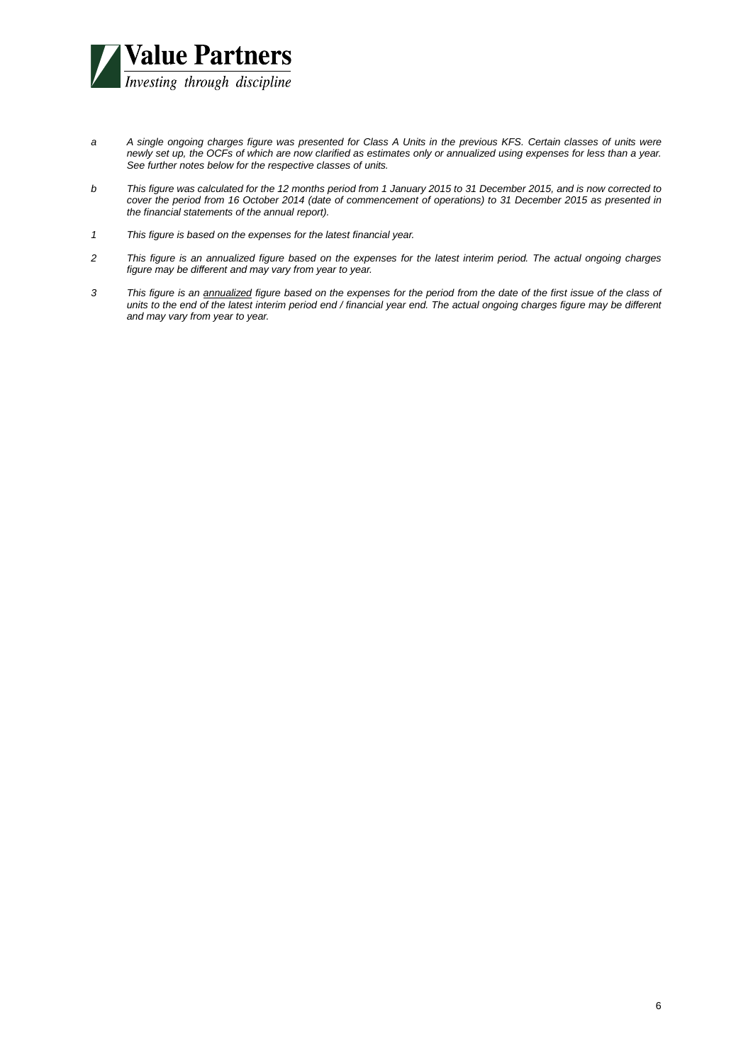

- *a A single ongoing charges figure was presented for Class A Units in the previous KFS. Certain classes of units were newly set up, the OCFs of which are now clarified as estimates only or annualized using expenses for less than a year. See further notes below for the respective classes of units.*
- *b This figure was calculated for the 12 months period from 1 January 2015 to 31 December 2015, and is now corrected to cover the period from 16 October 2014 (date of commencement of operations) to 31 December 2015 as presented in the financial statements of the annual report).*
- *1 This figure is based on the expenses for the latest financial year.*
- *2 This figure is an annualized figure based on the expenses for the latest interim period. The actual ongoing charges figure may be different and may vary from year to year.*
- *3 This figure is an annualized figure based on the expenses for the period from the date of the first issue of the class of units to the end of the latest interim period end / financial year end. The actual ongoing charges figure may be different and may vary from year to year.*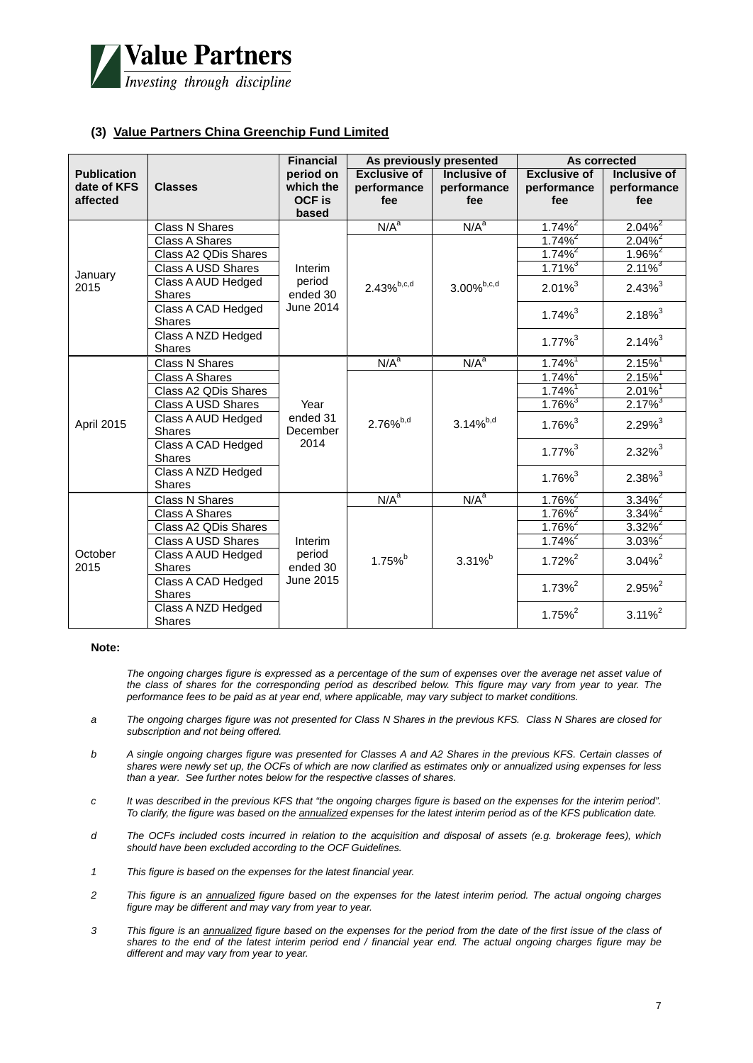

### **(3) Value Partners China Greenchip Fund Limited**

|                                               |                                     | <b>Financial</b>                                 | As previously presented                   |                                    | As corrected                              |                                    |
|-----------------------------------------------|-------------------------------------|--------------------------------------------------|-------------------------------------------|------------------------------------|-------------------------------------------|------------------------------------|
| <b>Publication</b><br>date of KFS<br>affected | <b>Classes</b>                      | period on<br>which the<br><b>OCF</b> is<br>based | <b>Exclusive of</b><br>performance<br>fee | Inclusive of<br>performance<br>fee | <b>Exclusive of</b><br>performance<br>fee | Inclusive of<br>performance<br>fee |
|                                               | <b>Class N Shares</b>               |                                                  | N/A <sup>a</sup>                          | N/A <sup>a</sup>                   | $1.74\%$ <sup>2</sup>                     | $2.04\%^{2}$                       |
|                                               | <b>Class A Shares</b>               |                                                  |                                           |                                    | $1.74\%$ <sup>2</sup>                     | $2.04\%$ <sup>2</sup>              |
|                                               | Class A2 QDis Shares                |                                                  |                                           |                                    | $1.74\%$ <sup>2</sup>                     | $1.96\%$ <sup>2</sup>              |
| January                                       | Class A USD Shares                  | Interim                                          |                                           |                                    | $1.71\%$ <sup>3</sup>                     | $2.11\%$ <sup>3</sup>              |
| 2015                                          | Class A AUD Hedged<br>Shares        | period<br>ended 30                               | $2.43\%^{b,c,d}$                          | $3.00\%^{\rm b,c,d}$               | $2.01\%^{3}$                              | $2.43\%^{3}$                       |
|                                               | Class A CAD Hedged<br>Shares        | June 2014                                        |                                           |                                    | $1.74\%$ <sup>3</sup>                     | $2.18\%^{3}$                       |
|                                               | Class A NZD Hedged<br><b>Shares</b> |                                                  |                                           |                                    | $1.77\%$ <sup>3</sup>                     | $2.14\%$ <sup>3</sup>              |
|                                               | <b>Class N Shares</b>               | Year<br>ended 31<br>December<br>2014             | N/A <sup>a</sup>                          | N/A <sup>a</sup>                   | $1.74\%$                                  | 2.15%                              |
|                                               | <b>Class A Shares</b>               |                                                  | $2.76\%^{b,d}$                            |                                    | $1.74\%$ <sup>1</sup>                     | $2.15\%$ <sup>1</sup>              |
|                                               | Class A2 QDis Shares                |                                                  |                                           |                                    | $1.74\%$ <sup>1</sup>                     | $2.01\%$ <sup>1</sup>              |
|                                               | Class A USD Shares                  |                                                  |                                           | $3.14\%^{b,d}$                     | $1.76\%$ <sup>3</sup>                     | $2.17\%$ <sup>3</sup>              |
| April 2015                                    | Class A AUD Hedged<br>Shares        |                                                  |                                           |                                    | $1.76\%^{3}$                              | $2.29%^{3}$                        |
|                                               | Class A CAD Hedged<br>Shares        |                                                  |                                           |                                    | $1.77\%$ <sup>3</sup>                     | $2.32\%^{3}$                       |
|                                               | Class A NZD Hedged<br><b>Shares</b> |                                                  |                                           |                                    | $1.76\%$ <sup>3</sup>                     | $2.38\%^{3}$                       |
|                                               | <b>Class N Shares</b>               |                                                  | N/A <sup>a</sup>                          | N/A <sup>a</sup>                   | $1.76\%$ <sup>2</sup>                     | $3.34\%$ <sup>2</sup>              |
|                                               | <b>Class A Shares</b>               |                                                  |                                           |                                    | $1.76\%$ <sup>2</sup>                     | $3.34\%^{2}$                       |
|                                               | Class A2 QDis Shares                |                                                  |                                           |                                    | $1.76\%$ <sup>2</sup>                     | $3.32\%^{2}$                       |
|                                               | Class A USD Shares                  | Interim                                          |                                           |                                    | $1.74\%$ <sup>2</sup>                     | $3.03\%^{2}$                       |
| October<br>2015                               | Class A AUD Hedged<br><b>Shares</b> | period<br>ended 30                               | $1.75\%$ <sup>b</sup>                     | $3.31\%$                           | $1.72\%^{2}$                              | $3.04\%^{2}$                       |
|                                               | Class A CAD Hedged<br><b>Shares</b> | June 2015                                        |                                           |                                    | $1.73\%^{2}$                              | $2.95\%^{2}$                       |
|                                               | Class A NZD Hedged<br><b>Shares</b> |                                                  |                                           |                                    | $1.75\%$ <sup>2</sup>                     | $3.11\%^{2}$                       |

#### **Note:**

The ongoing charges figure is expressed as a percentage of the sum of expenses over the average net asset value of *the class of shares for the corresponding period as described below. This figure may vary from year to year. The performance fees to be paid as at year end, where applicable, may vary subject to market conditions.*

- *a The ongoing charges figure was not presented for Class N Shares in the previous KFS. Class N Shares are closed for subscription and not being offered.*
- *b A single ongoing charges figure was presented for Classes A and A2 Shares in the previous KFS. Certain classes of shares were newly set up, the OCFs of which are now clarified as estimates only or annualized using expenses for less than a year. See further notes below for the respective classes of shares.*
- *c It was described in the previous KFS that "the ongoing charges figure is based on the expenses for the interim period". To clarify, the figure was based on the annualized expenses for the latest interim period as of the KFS publication date.*
- *d The OCFs included costs incurred in relation to the acquisition and disposal of assets (e.g. brokerage fees), which should have been excluded according to the OCF Guidelines.*
- *1 This figure is based on the expenses for the latest financial year.*
- *2 This figure is an annualized figure based on the expenses for the latest interim period. The actual ongoing charges figure may be different and may vary from year to year.*
- *3 This figure is an annualized figure based on the expenses for the period from the date of the first issue of the class of shares to the end of the latest interim period end / financial year end. The actual ongoing charges figure may be different and may vary from year to year.*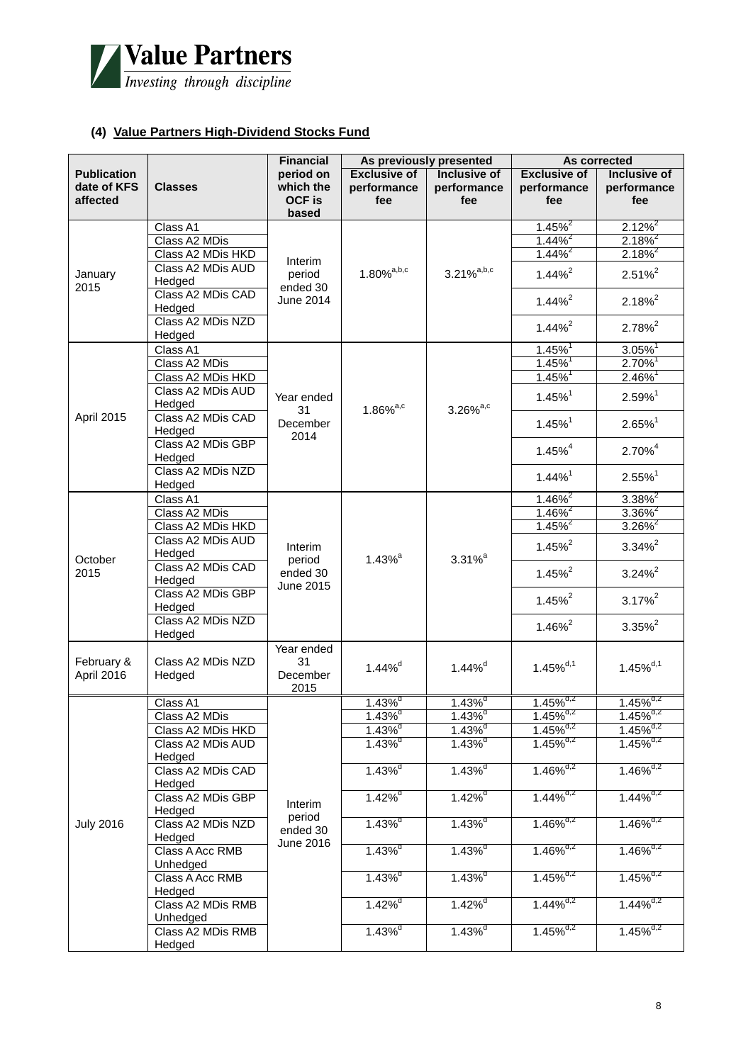

# **(4) Value Partners High-Dividend Stocks Fund**

|                                               |                                         | <b>Financial</b>                                 |                                           | As previously presented            |                                           | As corrected                                 |
|-----------------------------------------------|-----------------------------------------|--------------------------------------------------|-------------------------------------------|------------------------------------|-------------------------------------------|----------------------------------------------|
| <b>Publication</b><br>date of KFS<br>affected | <b>Classes</b>                          | period on<br>which the<br><b>OCF is</b><br>based | <b>Exclusive of</b><br>performance<br>fee | Inclusive of<br>performance<br>fee | <b>Exclusive of</b><br>performance<br>fee | Inclusive of<br>performance<br>fee           |
|                                               | Class A1                                |                                                  |                                           |                                    | $1.45\%$ <sup>2</sup>                     | $2.12\%$ <sup>2</sup>                        |
|                                               | Class A2 MDis                           |                                                  |                                           |                                    | $1.44\%$ <sup>2</sup>                     | $2.18\%^{2}$                                 |
|                                               | Class A2 MDis HKD                       | Interim                                          |                                           |                                    | $1.44\%$ <sup>2</sup>                     | $2.18\%^{2}$                                 |
| January<br>2015                               | Class A2 MDis AUD<br>Hedged             | period<br>ended 30                               | $1.80\%^{a,b,c}$                          | $3.21\%^{a,b,c}$                   | $1.44\%^{2}$                              | $2.51\%^{2}$                                 |
|                                               | Class A2 MDis CAD<br>Hedged             | June 2014                                        |                                           |                                    | $1.44\%^{2}$                              | $2.18\%^{2}$                                 |
|                                               | Class A2 MDis NZD<br>Hedged             |                                                  |                                           |                                    | $1.44\%^{2}$                              | $2.78\%^{2}$                                 |
|                                               | Class A1                                |                                                  |                                           |                                    | $1.45\%$ <sup>1</sup>                     | $3.05\%$ <sup>1</sup>                        |
|                                               | Class A2 MDis                           |                                                  |                                           |                                    | $1.45\%$ <sup>1</sup>                     | $2.70\%$ <sup>1</sup>                        |
|                                               | Class A2 MDis HKD                       |                                                  |                                           |                                    | $1.45\%$ <sup>1</sup>                     | $2.46\%$ <sup>1</sup>                        |
|                                               | Class A2 MDis AUD<br>Hedged             | Year ended<br>31                                 | $1.86\%^{a,c}$                            | $3.26\%^{a,c}$                     | $1.45\%$ <sup>1</sup>                     | $2.59\%$ <sup>1</sup>                        |
| April 2015                                    | Class A2 MDis CAD<br>Hedged             | December<br>2014                                 |                                           |                                    | $1.45\%$ <sup>1</sup>                     | $2.65\%$ <sup>1</sup>                        |
|                                               | Class A2 MDis GBP<br>Hedged             |                                                  |                                           |                                    | $1.45\%^{4}$                              | 2.70% <sup>4</sup>                           |
|                                               | Class A2 MDis NZD<br>Hedged             |                                                  |                                           |                                    | $1.44\%$ <sup>1</sup>                     | $2.55\%$ <sup>1</sup>                        |
|                                               | Class A1                                |                                                  |                                           |                                    | $1.46\%$ <sup>2</sup>                     | $3.38\%^{2}$                                 |
|                                               | Class A2 MDis                           |                                                  |                                           |                                    | $1.46\%$ <sup>2</sup>                     | $3.36\%$ <sup>2</sup>                        |
|                                               | Class A2 MDis HKD                       |                                                  |                                           |                                    | $1.45\%$ <sup>2</sup>                     | $3.26\%$ <sup>2</sup>                        |
|                                               | Class A2 MDis AUD<br>Hedged             | Interim<br>period<br>ended 30<br>June 2015       | $1.43\%$ <sup>a</sup>                     |                                    | $1.45\%^{2}$                              | $3.34\%^{2}$                                 |
| October<br>2015                               | Class A <sub>2</sub> MDis CAD<br>Hedged |                                                  |                                           | $3.31\%$ <sup>a</sup>              | $1.45\%^{2}$                              | $3.24\%^{2}$                                 |
|                                               | Class A2 MDis GBP<br>Hedged             |                                                  |                                           |                                    | $1.45\%^{2}$                              | $3.17\%^{2}$                                 |
|                                               | Class A2 MDis NZD<br>Hedged             |                                                  |                                           |                                    | $1.46\%^{2}$                              | $3.35\%^{2}$                                 |
| February &<br>April 2016                      | Class A2 MDis NZD<br>Hedged             | Year ended<br>31<br>December<br>2015             | $1.44\%$ <sup>d</sup>                     | $1.44\%$ <sup>d</sup>              | $1.45\%^{d,1}$                            | $1.45\%^{d,1}$                               |
|                                               | Class A1                                |                                                  | $1.43\%$ <sup>d</sup>                     | $1.43\%$ <sup>d</sup>              | $1.45\%$ <sup><math>d,2</math></sup>      | $1.45\%$ <sup><math>\frac{a}{2}</math></sup> |
|                                               | Class A2 MDis                           |                                                  | $1.43\%$ <sup>d</sup>                     | $1.43\%$ <sup>d</sup>              | $1.45\%$ <sup>d,2</sup>                   | $1.45\%^{d,2}$                               |
|                                               | Class A2 MDis HKD                       |                                                  | $1.43\%$ <sup>d</sup>                     | $1.43\%$ <sup>d</sup>              | $1.45\%$ <sup>d,2</sup>                   | $1.45\%$ <sup>d,2</sup>                      |
|                                               | Class A2 MDis AUD<br>Hedged             |                                                  | $1.43\%$ <sup>d</sup>                     | $1.43%^{d}$                        | $1.45\%$ <sup>d,2</sup>                   | $1.45\%$ <sup>d,2</sup>                      |
|                                               | Class A2 MDis CAD<br>Hedged             |                                                  | $1.43\%$ <sup>d</sup>                     | $1.43\%$ <sup>d</sup>              | $1.46\%$ <sup>d,2</sup>                   | $1.46\%$ <sup>d,2</sup>                      |
|                                               | Class A2 MDis GBP<br>Hedged             | Interim                                          | $1.42\%$ <sup>d</sup>                     | $1.42\%$ <sup>d</sup>              | $1.44\%$ <sup>d,2</sup>                   | $1.44\%^{d,2}$                               |
| <b>July 2016</b>                              | Class A2 MDis NZD<br>Hedged             | period<br>ended 30                               | $1.43\%$ <sup>d</sup>                     | $1.43\%$ <sup>d</sup>              | $1.46\%$ <sup>d,2</sup>                   | $1.46\%$ <sup>d,2</sup>                      |
|                                               | Class A Acc RMB<br>Unhedged             | June 2016                                        | $1.43\%$ <sup>d</sup>                     | $1.43%^{d}$                        | $1.46\%$ <sup>d,2</sup>                   | $1.46\%$ <sup>d,2</sup>                      |
|                                               | Class A Acc RMB<br>Hedged               |                                                  | $1.43%^{d}$                               | $1.43%^{d}$                        | $1.45\%$ <sup>d,2</sup>                   | $1.45\%^{d,2}$                               |
|                                               | Class A2 MDis RMB<br>Unhedged           |                                                  | $1.42\%$ <sup>d</sup>                     | $1.42\%$ <sup>d</sup>              | $1.44\%$ <sup>d,2</sup>                   | $1.44\%^{d,2}$                               |
|                                               | Class A2 MDis RMB<br>Hedged             |                                                  | $1.43%^{d}$                               | $1.43\%$ <sup>d</sup>              | $1.45\%$ <sup>d,2</sup>                   | $1.45\%^{d,2}$                               |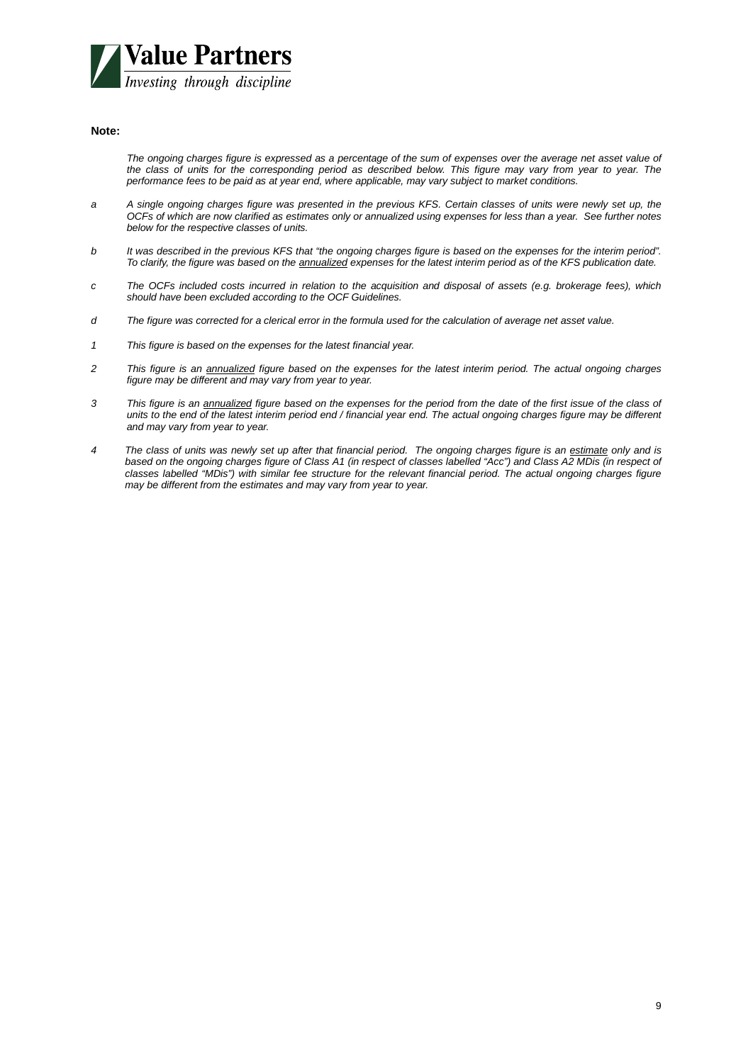

#### **Note:**

*The ongoing charges figure is expressed as a percentage of the sum of expenses over the average net asset value of the class of units for the corresponding period as described below. This figure may vary from year to year. The performance fees to be paid as at year end, where applicable, may vary subject to market conditions.*

- *a A single ongoing charges figure was presented in the previous KFS. Certain classes of units were newly set up, the OCFs of which are now clarified as estimates only or annualized using expenses for less than a year. See further notes below for the respective classes of units.*
- *b It was described in the previous KFS that "the ongoing charges figure is based on the expenses for the interim period". To clarify, the figure was based on the annualized expenses for the latest interim period as of the KFS publication date.*
- *c The OCFs included costs incurred in relation to the acquisition and disposal of assets (e.g. brokerage fees), which should have been excluded according to the OCF Guidelines.*
- *d The figure was corrected for a clerical error in the formula used for the calculation of average net asset value.*
- *1 This figure is based on the expenses for the latest financial year.*
- *2 This figure is an annualized figure based on the expenses for the latest interim period. The actual ongoing charges figure may be different and may vary from year to year.*
- *3 This figure is an annualized figure based on the expenses for the period from the date of the first issue of the class of units to the end of the latest interim period end / financial year end. The actual ongoing charges figure may be different and may vary from year to year.*
- *4 The class of units was newly set up after that financial period. The ongoing charges figure is an estimate only and is based on the ongoing charges figure of Class A1 (in respect of classes labelled "Acc") and Class A2 MDis (in respect of classes labelled "MDis") with similar fee structure for the relevant financial period. The actual ongoing charges figure may be different from the estimates and may vary from year to year.*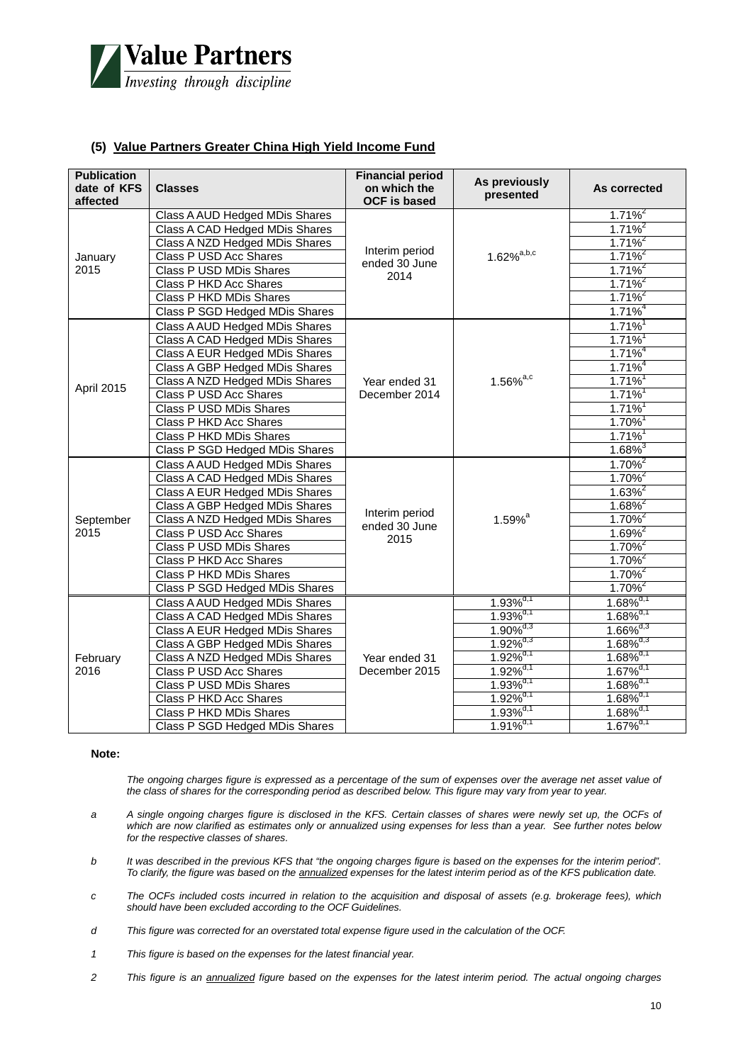

### **(5) Value Partners Greater China High Yield Income Fund**

| <b>Publication</b><br>date of KFS<br>affected | <b>Classes</b>                 | <b>Financial period</b><br>on which the<br><b>OCF</b> is based | As previously<br>presented          | As corrected            |
|-----------------------------------------------|--------------------------------|----------------------------------------------------------------|-------------------------------------|-------------------------|
|                                               | Class A AUD Hedged MDis Shares |                                                                |                                     | $1.71\%$ <sup>2</sup>   |
| January<br>2015                               | Class A CAD Hedged MDis Shares |                                                                |                                     | $1.71\%$ <sup>2</sup>   |
|                                               | Class A NZD Hedged MDis Shares | Interim period                                                 |                                     | $1.71\%$ <sup>2</sup>   |
|                                               | Class P USD Acc Shares         | ended 30 June                                                  | $1.62\%^{a,b,c}$                    | $1.71\%^{2}$            |
|                                               | Class P USD MDis Shares        | 2014                                                           |                                     | $1.71\%$ <sup>2</sup>   |
|                                               | Class P HKD Acc Shares         |                                                                |                                     | $1.71\%$ <sup>2</sup>   |
|                                               | Class P HKD MDis Shares        |                                                                |                                     | $1.71\%$ <sup>2</sup>   |
|                                               | Class P SGD Hedged MDis Shares |                                                                |                                     | $1.71\%$ <sup>4</sup>   |
|                                               | Class A AUD Hedged MDis Shares |                                                                |                                     | $1.71\%$                |
|                                               | Class A CAD Hedged MDis Shares |                                                                |                                     | $1.71\%$ <sup>1</sup>   |
|                                               | Class A EUR Hedged MDis Shares |                                                                |                                     | $1.71\%$ <sup>4</sup>   |
|                                               | Class A GBP Hedged MDis Shares |                                                                |                                     | $1.71\%$ <sup>4</sup>   |
| April 2015                                    | Class A NZD Hedged MDis Shares | Year ended 31<br>December 2014                                 | $1.56\%^{a,c}$                      | $1.71\%$ <sup>1</sup>   |
|                                               | Class P USD Acc Shares         |                                                                |                                     | $1.71\%$                |
|                                               | Class P USD MDis Shares        |                                                                |                                     | $1.71\%$ <sup>1</sup>   |
|                                               | Class P HKD Acc Shares         |                                                                |                                     | $1.70\%$ <sup>1</sup>   |
|                                               | Class P HKD MDis Shares        |                                                                |                                     | $1.71\%$ <sup>1</sup>   |
|                                               | Class P SGD Hedged MDis Shares |                                                                |                                     | $1.68\%$ <sup>3</sup>   |
|                                               | Class A AUD Hedged MDis Shares |                                                                |                                     | $1.70\%$ <sup>2</sup>   |
|                                               | Class A CAD Hedged MDis Shares | Interim period<br>ended 30 June<br>2015                        | $1.59%$ <sup>a</sup>                | $1.70\%$ <sup>2</sup>   |
|                                               | Class A EUR Hedged MDis Shares |                                                                |                                     | $1.63\%^{2}$            |
|                                               | Class A GBP Hedged MDis Shares |                                                                |                                     | $1.68\%$ <sup>2</sup>   |
| September                                     | Class A NZD Hedged MDis Shares |                                                                |                                     | $1.70\%$ <sup>2</sup>   |
| 2015                                          | Class P USD Acc Shares         |                                                                |                                     | $1.69\%$ <sup>2</sup>   |
|                                               | Class P USD MDis Shares        |                                                                |                                     | $1.70\%$ <sup>2</sup>   |
|                                               | Class P HKD Acc Shares         |                                                                |                                     | $1.70\%^{2}$            |
|                                               | Class P HKD MDis Shares        |                                                                |                                     | $1.70\%$ <sup>2</sup>   |
|                                               | Class P SGD Hedged MDis Shares |                                                                |                                     | $1.70\%$ <sup>2</sup>   |
|                                               | Class A AUD Hedged MDis Shares |                                                                | $1.93\%$ <sup>d,1</sup>             | $1.68\%$ <sup>d,1</sup> |
|                                               | Class A CAD Hedged MDis Shares |                                                                | $1.93\%$ <sup>d,1</sup>             | $1.68\%$ <sup>d,1</sup> |
|                                               | Class A EUR Hedged MDis Shares |                                                                | $\frac{1.90\%^{d,3}}{1.92\%^{d,3}}$ | $1.66\%$ <sup>d,3</sup> |
|                                               | Class A GBP Hedged MDis Shares |                                                                |                                     | $1.68\%$ <sup>d,3</sup> |
| February                                      | Class A NZD Hedged MDis Shares | Year ended 31                                                  | $1.92\%$ <sup>d,1</sup>             | $1.68\%$ <sup>d,1</sup> |
| 2016                                          | Class P USD Acc Shares         | December 2015                                                  | $1.92\%$ <sup>d,1</sup>             | $1.67\%$ <sup>d,1</sup> |
|                                               | Class P USD MDis Shares        |                                                                | $\frac{1.93\%^{d,1}}{1.92\%^{d,1}}$ | $1.68\%$ <sup>d,1</sup> |
|                                               | Class P HKD Acc Shares         |                                                                |                                     | $1.68\%^{d,1}$          |
|                                               | Class P HKD MDis Shares        |                                                                | $1.93\%$ <sup>d,1</sup>             | $1.68\%$ <sup>d,1</sup> |
|                                               | Class P SGD Hedged MDis Shares |                                                                | $1.91\%$ <sup>d,1</sup>             | $1.67\%^{d,1}$          |

#### **Note:**

*The ongoing charges figure is expressed as a percentage of the sum of expenses over the average net asset value of the class of shares for the corresponding period as described below. This figure may vary from year to year.*

- *a A single ongoing charges figure is disclosed in the KFS. Certain classes of shares were newly set up, the OCFs of which are now clarified as estimates only or annualized using expenses for less than a year. See further notes below for the respective classes of shares.*
- *b It was described in the previous KFS that "the ongoing charges figure is based on the expenses for the interim period". To clarify, the figure was based on the annualized expenses for the latest interim period as of the KFS publication date.*
- *c The OCFs included costs incurred in relation to the acquisition and disposal of assets (e.g. brokerage fees), which should have been excluded according to the OCF Guidelines.*
- *d This figure was corrected for an overstated total expense figure used in the calculation of the OCF.*
- *1 This figure is based on the expenses for the latest financial year.*
- *2 This figure is an annualized figure based on the expenses for the latest interim period. The actual ongoing charges*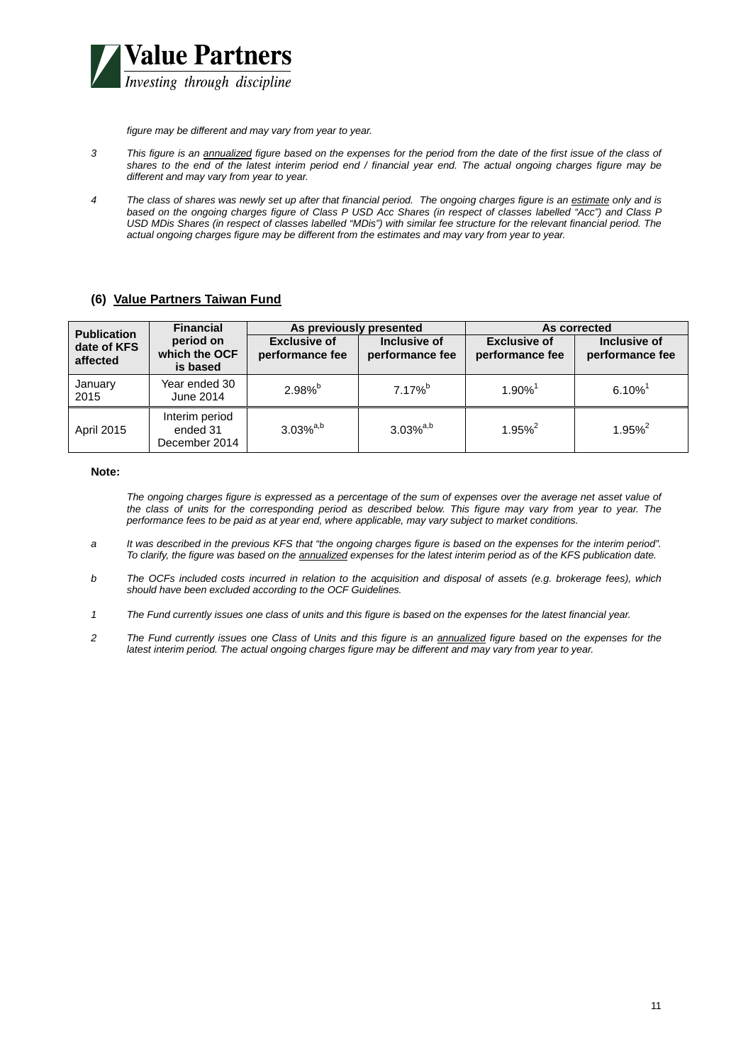

*figure may be different and may vary from year to year.*

- *3 This figure is an annualized figure based on the expenses for the period from the date of the first issue of the class of shares to the end of the latest interim period end / financial year end. The actual ongoing charges figure may be different and may vary from year to year.*
- *4 The class of shares was newly set up after that financial period. The ongoing charges figure is an estimate only and is*  based on the ongoing charges figure of Class P USD Acc Shares (in respect of classes labelled "Acc") and Class P *USD MDis Shares (in respect of classes labelled "MDis") with similar fee structure for the relevant financial period. The actual ongoing charges figure may be different from the estimates and may vary from year to year.*

### **(6) Value Partners Taiwan Fund**

| <b>Publication</b>      | <b>Financial</b>                            | As previously presented                |                                 | As corrected                           |                                 |  |
|-------------------------|---------------------------------------------|----------------------------------------|---------------------------------|----------------------------------------|---------------------------------|--|
| date of KFS<br>affected | period on<br>which the OCF<br>is based      | <b>Exclusive of</b><br>performance fee | Inclusive of<br>performance fee | <b>Exclusive of</b><br>performance fee | Inclusive of<br>performance fee |  |
| January<br>2015         | Year ended 30<br>June 2014                  | $2.98\%$                               | $7.17\%$ <sup>b</sup>           | $1.90\%$ <sup>1</sup>                  | $6.10\%$ <sup>1</sup>           |  |
| <b>April 2015</b>       | Interim period<br>ended 31<br>December 2014 | $3.03\%^{a,b}$                         | $3.03\%^{a,b}$                  | $1.95\%$ <sup>2</sup>                  | $1.95\%$ <sup>2</sup>           |  |

#### **Note:**

The ongoing charges figure is expressed as a percentage of the sum of expenses over the average net asset value of *the class of units for the corresponding period as described below. This figure may vary from year to year. The performance fees to be paid as at year end, where applicable, may vary subject to market conditions.*

- *a It was described in the previous KFS that "the ongoing charges figure is based on the expenses for the interim period". To clarify, the figure was based on the annualized expenses for the latest interim period as of the KFS publication date.*
- *b The OCFs included costs incurred in relation to the acquisition and disposal of assets (e.g. brokerage fees), which should have been excluded according to the OCF Guidelines.*
- *1 The Fund currently issues one class of units and this figure is based on the expenses for the latest financial year.*
- *2 The Fund currently issues one Class of Units and this figure is an annualized figure based on the expenses for the latest interim period. The actual ongoing charges figure may be different and may vary from year to year.*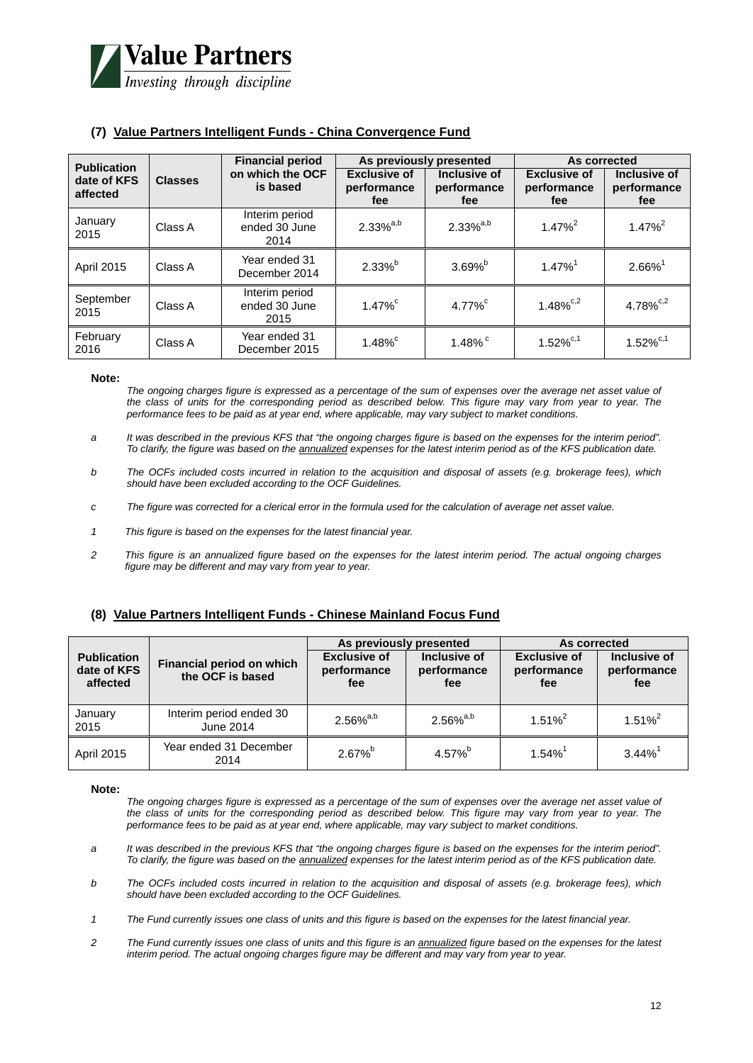

### **(7) Value Partners Intelligent Funds - China Convergence Fund**

| <b>Publication</b>      |                | <b>Financial period</b>                 | As previously presented                   |                                    | As corrected                              |                                    |
|-------------------------|----------------|-----------------------------------------|-------------------------------------------|------------------------------------|-------------------------------------------|------------------------------------|
| date of KFS<br>affected | <b>Classes</b> | on which the OCF<br>is based            | <b>Exclusive of</b><br>performance<br>fee | Inclusive of<br>performance<br>fee | <b>Exclusive of</b><br>performance<br>fee | Inclusive of<br>performance<br>fee |
| January<br>2015         | Class A        | Interim period<br>ended 30 June<br>2014 | $2.33\%^{a,b}$                            | $2.33\%^{a,b}$                     | $1.47\%^{2}$                              | $1.47\%^{2}$                       |
| <b>April 2015</b>       | Class A        | Year ended 31<br>December 2014          | $2.33\%$ <sup>b</sup>                     | $3.69%^{b}$                        | $1.47\%$ <sup>1</sup>                     | $2.66\%$ <sup>1</sup>              |
| September<br>2015       | Class A        | Interim period<br>ended 30 June<br>2015 | $1.47\%$ <sup>c</sup>                     | $4.77\%$ <sup>c</sup>              | $1.48\%^{c,2}$                            | 4.78% $c, 2$                       |
| February<br>2016        | Class A        | Year ended 31<br>December 2015          | $1.48\%$ <sup>c</sup>                     | 1.48% $^{\circ}$                   | $1.52\%^{c,1}$                            | $1.52\%^{c,1}$                     |

#### **Note:**

The ongoing charges figure is expressed as a percentage of the sum of expenses over the average net asset value of *the class of units for the corresponding period as described below. This figure may vary from year to year. The performance fees to be paid as at year end, where applicable, may vary subject to market conditions.*

- *a It was described in the previous KFS that "the ongoing charges figure is based on the expenses for the interim period". To clarify, the figure was based on the annualized expenses for the latest interim period as of the KFS publication date.*
- *b The OCFs included costs incurred in relation to the acquisition and disposal of assets (e.g. brokerage fees), which should have been excluded according to the OCF Guidelines.*
- *c The figure was corrected for a clerical error in the formula used for the calculation of average net asset value.*
- *1 This figure is based on the expenses for the latest financial year.*
- *2 This figure is an annualized figure based on the expenses for the latest interim period. The actual ongoing charges figure may be different and may vary from year to year.*

### **(8) Value Partners Intelligent Funds - Chinese Mainland Focus Fund**

|                                               |                                               | As previously presented                   |                                    | As corrected                              |                                    |
|-----------------------------------------------|-----------------------------------------------|-------------------------------------------|------------------------------------|-------------------------------------------|------------------------------------|
| <b>Publication</b><br>date of KFS<br>affected | Financial period on which<br>the OCF is based | <b>Exclusive of</b><br>performance<br>fee | Inclusive of<br>performance<br>fee | <b>Exclusive of</b><br>performance<br>fee | Inclusive of<br>performance<br>fee |
| January<br>2015                               | Interim period ended 30<br>June 2014          | $2.56\%^{a,b}$                            | $2.56\%^{a,b}$                     | $1.51\%^{2}$                              | 1.51% <sup>2</sup>                 |
| <b>April 2015</b>                             | Year ended 31 December<br>2014                | $2.67\%$ <sup>b</sup>                     | $4.57\%$ <sup>b</sup>              | $1.54\%$ <sup>1</sup>                     | $3.44\%$ <sup>1</sup>              |

#### **Note:**

The ongoing charges figure is expressed as a percentage of the sum of expenses over the average net asset value of *the class of units for the corresponding period as described below. This figure may vary from year to year. The performance fees to be paid as at year end, where applicable, may vary subject to market conditions.*

- *a It was described in the previous KFS that "the ongoing charges figure is based on the expenses for the interim period". To clarify, the figure was based on the annualized expenses for the latest interim period as of the KFS publication date.*
- *b The OCFs included costs incurred in relation to the acquisition and disposal of assets (e.g. brokerage fees), which should have been excluded according to the OCF Guidelines.*
- *1 The Fund currently issues one class of units and this figure is based on the expenses for the latest financial year.*
- *2 The Fund currently issues one class of units and this figure is an annualized figure based on the expenses for the latest interim period. The actual ongoing charges figure may be different and may vary from year to year.*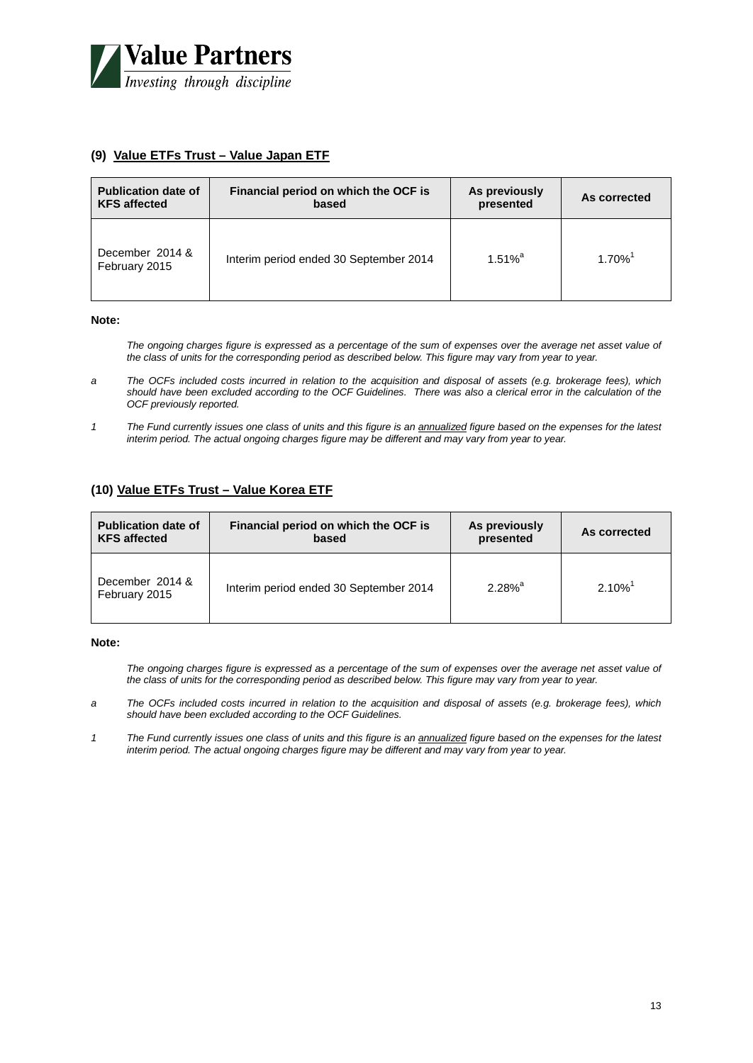

# **(9) Value ETFs Trust – Value Japan ETF**

| <b>Publication date of</b>       | Financial period on which the OCF is   | As previously         | As corrected          |
|----------------------------------|----------------------------------------|-----------------------|-----------------------|
| <b>KFS</b> affected              | based                                  | presented             |                       |
| December 2014 &<br>February 2015 | Interim period ended 30 September 2014 | $1.51\%$ <sup>a</sup> | $1.70\%$ <sup>1</sup> |

#### **Note:**

*The ongoing charges figure is expressed as a percentage of the sum of expenses over the average net asset value of the class of units for the corresponding period as described below. This figure may vary from year to year.* 

- *a The OCFs included costs incurred in relation to the acquisition and disposal of assets (e.g. brokerage fees), which should have been excluded according to the OCF Guidelines. There was also a clerical error in the calculation of the OCF previously reported.*
- *1 The Fund currently issues one class of units and this figure is an annualized figure based on the expenses for the latest interim period. The actual ongoing charges figure may be different and may vary from year to year.*

### **(10) Value ETFs Trust – Value Korea ETF**

| <b>Publication date of</b>       | Financial period on which the OCF is   | As previously         | As corrected          |
|----------------------------------|----------------------------------------|-----------------------|-----------------------|
| <b>KFS</b> affected              | based                                  | presented             |                       |
| December 2014 &<br>February 2015 | Interim period ended 30 September 2014 | $2.28\%$ <sup>a</sup> | $2.10\%$ <sup>1</sup> |

#### **Note:**

*The ongoing charges figure is expressed as a percentage of the sum of expenses over the average net asset value of the class of units for the corresponding period as described below. This figure may vary from year to year.* 

- *a The OCFs included costs incurred in relation to the acquisition and disposal of assets (e.g. brokerage fees), which should have been excluded according to the OCF Guidelines.*
- *1 The Fund currently issues one class of units and this figure is an annualized figure based on the expenses for the latest interim period. The actual ongoing charges figure may be different and may vary from year to year.*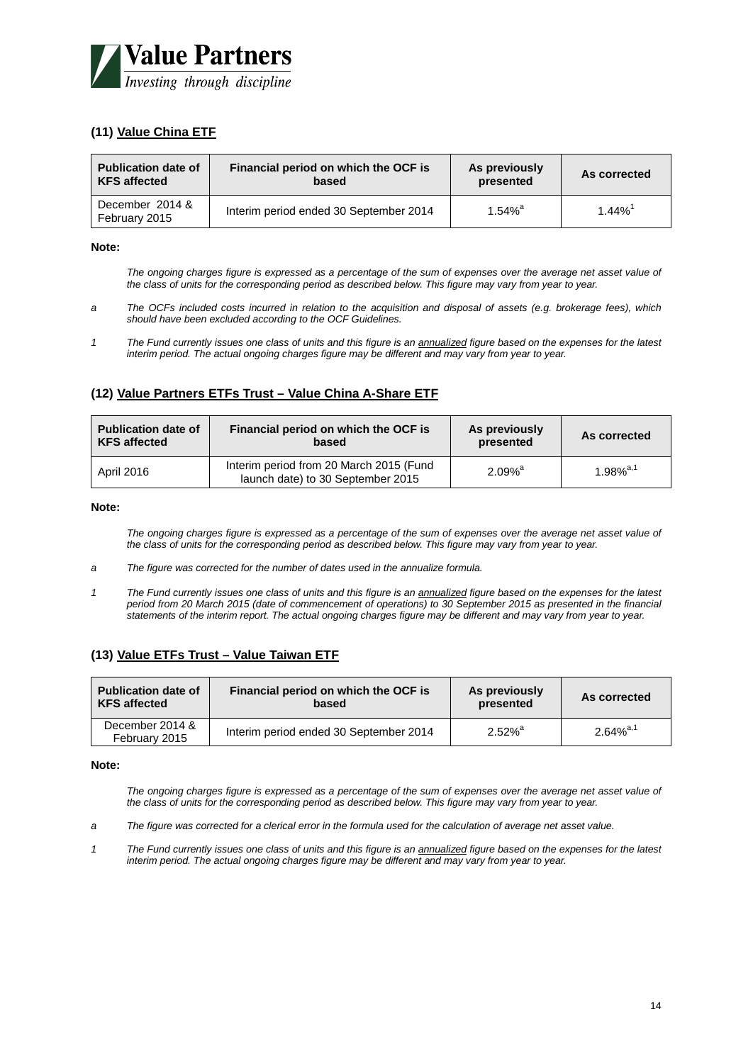

# **(11) Value China ETF**

| <b>Publication date of</b>       | Financial period on which the OCF is   | As previously         | As corrected          |
|----------------------------------|----------------------------------------|-----------------------|-----------------------|
| <b>KFS affected</b>              | based                                  | presented             |                       |
| December 2014 &<br>February 2015 | Interim period ended 30 September 2014 | $1.54\%$ <sup>a</sup> | $1.44\%$ <sup>1</sup> |

#### **Note:**

The ongoing charges figure is expressed as a percentage of the sum of expenses over the average net asset value of *the class of units for the corresponding period as described below. This figure may vary from year to year.* 

- *a The OCFs included costs incurred in relation to the acquisition and disposal of assets (e.g. brokerage fees), which should have been excluded according to the OCF Guidelines.*
- *1 The Fund currently issues one class of units and this figure is an annualized figure based on the expenses for the latest interim period. The actual ongoing charges figure may be different and may vary from year to year.*

### **(12) Value Partners ETFs Trust – Value China A-Share ETF**

| <b>Publication date of</b> | Financial period on which the OCF is                                         | As previously         | As corrected   |
|----------------------------|------------------------------------------------------------------------------|-----------------------|----------------|
| <b>KFS affected</b>        | based                                                                        | presented             |                |
| April 2016                 | Interim period from 20 March 2015 (Fund<br>launch date) to 30 September 2015 | $2.09\%$ <sup>a</sup> | $1.98\%^{a,1}$ |

#### **Note:**

The ongoing charges figure is expressed as a percentage of the sum of expenses over the average net asset value of *the class of units for the corresponding period as described below. This figure may vary from year to year.* 

- *a The figure was corrected for the number of dates used in the annualize formula.*
- *1 The Fund currently issues one class of units and this figure is an annualized figure based on the expenses for the latest period from 20 March 2015 (date of commencement of operations) to 30 September 2015 as presented in the financial statements of the interim report. The actual ongoing charges figure may be different and may vary from year to year.*

### **(13) Value ETFs Trust – Value Taiwan ETF**

| <b>Publication date of</b>       | Financial period on which the OCF is   | As previously         | As corrected   |
|----------------------------------|----------------------------------------|-----------------------|----------------|
| <b>KFS</b> affected              | based                                  | presented             |                |
| December 2014 &<br>February 2015 | Interim period ended 30 September 2014 | $2.52\%$ <sup>a</sup> | $2.64\%^{a,1}$ |

#### **Note:**

The ongoing charges figure is expressed as a percentage of the sum of expenses over the average net asset value of *the class of units for the corresponding period as described below. This figure may vary from year to year.* 

- *a The figure was corrected for a clerical error in the formula used for the calculation of average net asset value.*
- *1 The Fund currently issues one class of units and this figure is an annualized figure based on the expenses for the latest interim period. The actual ongoing charges figure may be different and may vary from year to year.*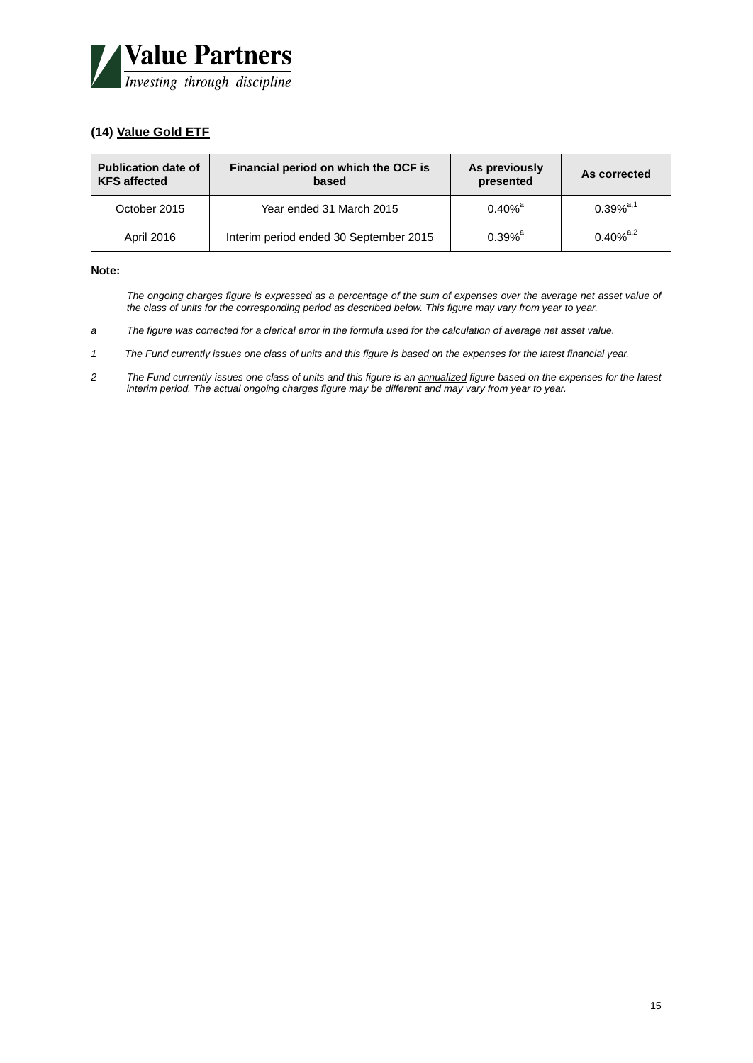

# **(14) Value Gold ETF**

| <b>Publication date of</b><br><b>KFS</b> affected | Financial period on which the OCF is<br>based | As previously<br>presented | As corrected            |
|---------------------------------------------------|-----------------------------------------------|----------------------------|-------------------------|
| October 2015                                      | Year ended 31 March 2015                      | $0.40\%$ <sup>a</sup>      | $0.39\%$ <sup>a,1</sup> |
| April 2016                                        | Interim period ended 30 September 2015        | $0.39\%$ <sup>a</sup>      | $0.40\%^{a,2}$          |

### **Note:**

*The ongoing charges figure is expressed as a percentage of the sum of expenses over the average net asset value of the class of units for the corresponding period as described below. This figure may vary from year to year.* 

- *a The figure was corrected for a clerical error in the formula used for the calculation of average net asset value.*
- *1 The Fund currently issues one class of units and this figure is based on the expenses for the latest financial year.*
- *2 The Fund currently issues one class of units and this figure is an annualized figure based on the expenses for the latest interim period. The actual ongoing charges figure may be different and may vary from year to year.*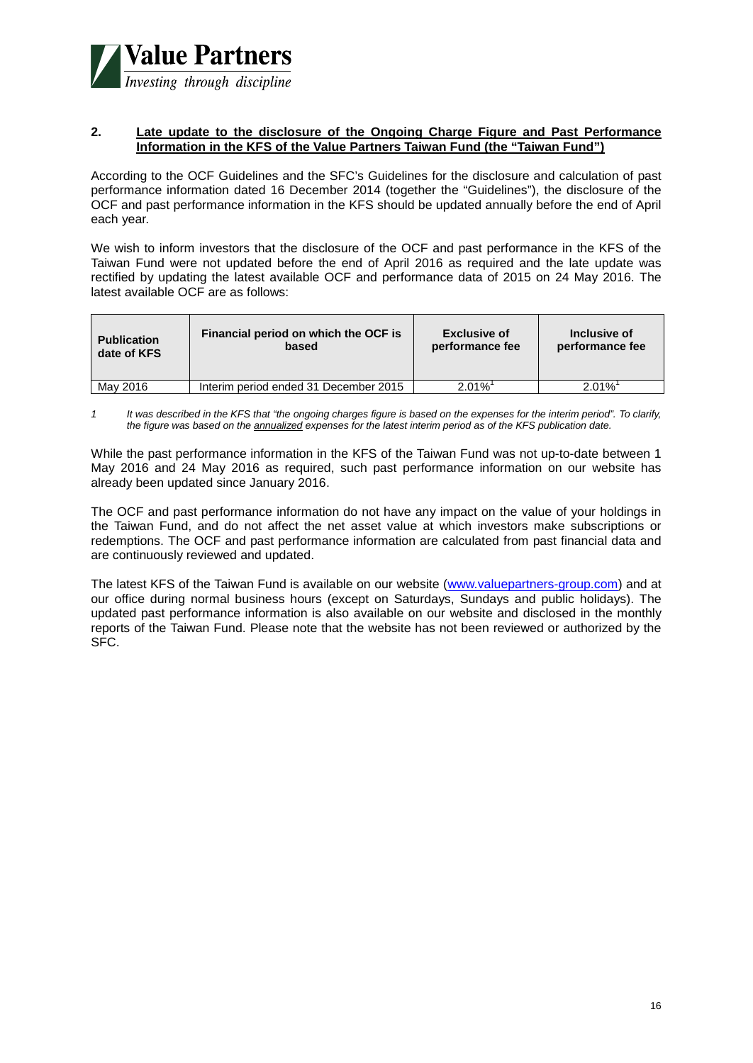

### **2. Late update to the disclosure of the Ongoing Charge Figure and Past Performance Information in the KFS of the Value Partners Taiwan Fund (the "Taiwan Fund")**

According to the OCF Guidelines and the SFC's Guidelines for the disclosure and calculation of past performance information dated 16 December 2014 (together the "Guidelines"), the disclosure of the OCF and past performance information in the KFS should be updated annually before the end of April each year.

We wish to inform investors that the disclosure of the OCF and past performance in the KFS of the Taiwan Fund were not updated before the end of April 2016 as required and the late update was rectified by updating the latest available OCF and performance data of 2015 on 24 May 2016. The latest available OCF are as follows:

| <b>Publication</b> | Financial period on which the OCF is  | <b>Exclusive of</b>   | Inclusive of          |
|--------------------|---------------------------------------|-----------------------|-----------------------|
| date of KFS        | based                                 | performance fee       | performance fee       |
| May 2016           | Interim period ended 31 December 2015 | $2.01\%$ <sup>1</sup> | $2.01\%$ <sup>1</sup> |

*1 It was described in the KFS that "the ongoing charges figure is based on the expenses for the interim period". To clarify, the figure was based on the annualized expenses for the latest interim period as of the KFS publication date.*

While the past performance information in the KFS of the Taiwan Fund was not up-to-date between 1 May 2016 and 24 May 2016 as required, such past performance information on our website has already been updated since January 2016.

The OCF and past performance information do not have any impact on the value of your holdings in the Taiwan Fund, and do not affect the net asset value at which investors make subscriptions or redemptions. The OCF and past performance information are calculated from past financial data and are continuously reviewed and updated.

The latest KFS of the Taiwan Fund is available on our website [\(www.valuepartners-group.com\)](http://www.valuepartners-group.com/) and at our office during normal business hours (except on Saturdays, Sundays and public holidays). The updated past performance information is also available on our website and disclosed in the monthly reports of the Taiwan Fund. Please note that the website has not been reviewed or authorized by the SFC.